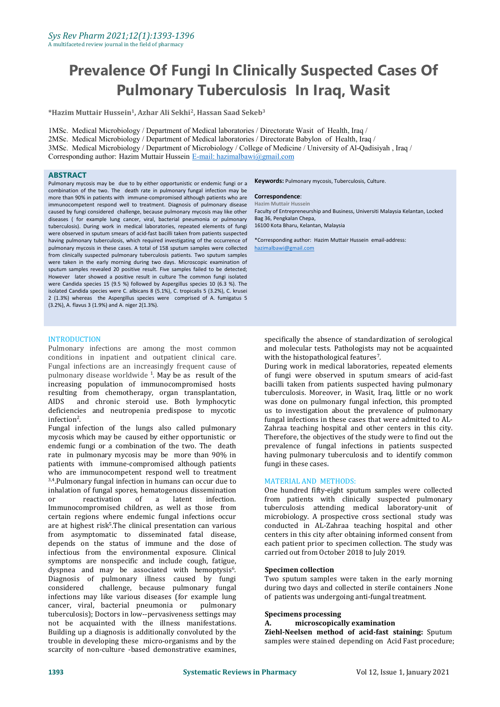# **Prevalence Of Fungi In Clinically Suspected Cases Of Pulmonary Tuberculosis In Iraq, Wasit**

**\*Hazim Muttair Hussein 1 , Azhar Ali Sekhi<sup>2</sup> , Hassan Saad Sekeb 3**

1MSc. Medical Microbiology / Department of Medical laboratories / Directorate Wasit of Health, Iraq / 2MSc. Medical Microbiology / Department of Medical laboratories / Directorate Babylon of Health,Iraq / 3MSc. Medical Microbiology / Department of Microbiology / College of Medicine / University of Al-Qadisiyah , Iraq / Corresponding author: Hazim Muttair Hussein E-mail: [hazimalbawi@gmail.com](mailto:E-mail:%20hazimalbawi@gmail.com)

#### **ABSTRACT**

Pulmonary mycosis may be due to by either opportunistic or endemic fungi or a combination of the two. The death rate in pulmonary fungal infection may be more than 90% in patients with immune-compromised although patients who are immunocompetent respond well to treatment. Diagnosis of pulmonary disease caused by fungi considered challenge, because pulmonary mycosis may like other diseases ( for example lung cancer, viral, bacterial pneumonia or pulmonary tuberculosis). During work in medical laboratories, repeated elements of fungi were observed in sputum smears of acid-fast bacilli taken from patients suspected having pulmonary tuberculosis, which required investigating of the occurrence of pulmonary mycosis in these cases. A total of 158 sputum samples were collected from clinically suspected pulmonary tuberculosis patients. Two sputum samples were taken in the early morning during two days. Microscopic examination of sputum samples revealed 20 positive result. Five samples failed to be detected;<br>However later showed a positive result in culture The common fungi isolated were Candida species 15 (9.5 %) followed by Aspergillus species 10 (6.3 %). The isolated Candida species were C. albicans 8 (5.1%), C. tropicalis 5 (3.2%), C. krusei 2 (1.3%) whereas the Aspergillus species were comprised of A. fumigatus 5 (3.2%), A. flavus 3 (1.9%) and A. niger 2(1.3%).

# **Keywords:** Pulmonary mycosis, Tuberculosis, Culture.

#### **Correspondence**:

**Hazim Muttair Hussein** Faculty of Entrepreneurship and Business, Universiti Malaysia Kelantan, Locked Bag 36, Pengkalan Chepa, 16100 Kota Bharu, Kelantan, Malaysia

\*Corresponding author: Hazim Muttair Hussein email-address: [hazimalbawi@gmail.com](mailto:hazimalbawi@gmail.com)

#### **INTRODUCTION**

Pulmonary infections are among the most common conditions in inpatient and outpatient clinical care. Fungal infections are an increasingly frequent cause of pulmonary disease worldwide <sup>1</sup>. May be as result of the source of fungi well increasing population of immunocompromised hosts resulting from chemotherapy, organ transplantation, and chronic steroid use. Both lymphocytic deficiencies and neutropenia predispose to mycotic infection<sup>2</sup>. infection . 2

Fungal infection of the lungs also called pulmonary mycosis which may be caused by either opportunistic or endemic fungi or a combination of the two. The death rate in pulmonary mycosis may be more than 90% in patients with immune-compromised although patients who are immunocompetent respond well to treatment <sup>3,4</sup>.Pulmonary fungal infection in humans can occur due to **MATERIAL AN** inhalation of fungal spores, hematogenous dissemination<br>or  $\quad$  reactivation  $\quad$  of  $\quad$  a  $\quad$  latent  $\quad$  infection. reactivation Immunocompromised children, as well as those from certain regions where endemic fungal infections occur are at highest risk 5 .The clinical presentation can various from asymptomatic to disseminated fatal disease, depends on the status of immune and the dose of infectious from the environmental exposure. Clinical symptoms are nonspecific and include cough, fatigue, dyspnea and may be associated with hemoptysis<sup>6</sup>.<br>Diagnosis of pulmonary illness caused by fungi . considered challenge, because pulmonary fungal infections may like various diseases (for example lung cancer, viral, bacterial pneumonia or pulmonary cancer, viral, bacterial pneumonia or tuberculosis); Doctors in low--pervasiveness settings may not be acquainted with the illness manifestations. A. Building up a diagnosis is additionally convoluted by the trouble in developing these micro-organisms and by the scarcity of non-culture -based demonstrative examines,

specifically the absence of standardization of serological and molecular tests. Pathologists may not be acquainted with the histopathological features<sup>7</sup>. .

During work in medical laboratories, repeated elements of fungi were observed in sputum smears of acid-fast bacilli taken from patients suspected having pulmonary tuberculosis. Moreover, in Wasit, Iraq, little or no work was done on pulmonary fungal infection, this prompted us to investigation about the prevalence of pulmonary fungal infections in these cases that were admitted to AL- Zahraa teaching hospital and other centers in this city. Therefore, the objectives of the study were to find out the prevalence of fungal infections in patients suspected having pulmonary tuberculosis and to identify common fungi in these cases**.**

#### MATERIAL AND METHODS:

One hundred fifty-eight sputum samples were collected from patients with clinically suspected pulmonary tuberculosis attending medical laboratory-unit of microbiology. A prospective cross sectional study was conducted in AL-Zahraa teaching hospital and other centers in this city after obtaining informed consent from each patient prior to specimen collection. The study was carried out from October 2018 to July 2019.

#### 6 **Specimen collection**

Two sputum samples were taken in the early morning during two days and collected in sterile containers .None of patients was undergoing anti-fungal treatment.

#### **Specimens processing**

# **A. microscopically examination**

**Ziehl-Neelsen method of acid-fast staining:** Sputum samples were stained depending on Acid Fast procedure;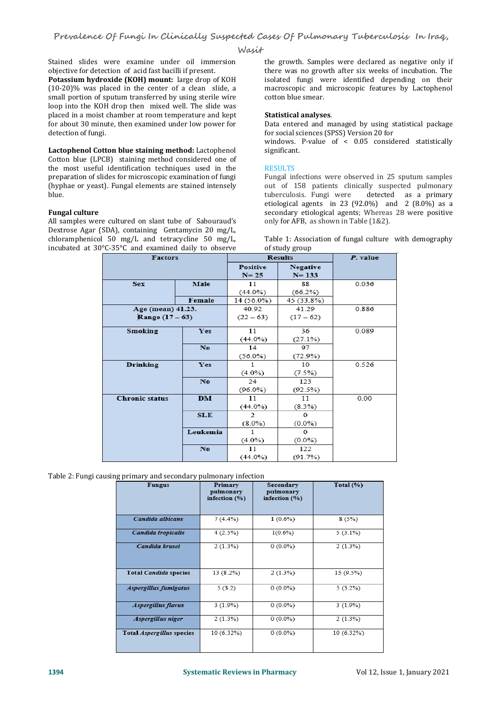#### **Wasit**

Stained slides were examine under oil immersion<br>objective for detection of acid fast bacilli if present.

**Potassium hydroxide (KOH) mount:** large drop of KOH (10-20)% was placed in the center of a clean slide, a small portion of sputum transferred by using sterile wire loop into the KOH drop then mixed well. The slide was placed in a moist chamber at room temperature and kept for about 30 minute, then examined under low power for Data entered and managed by using s<br>detection of fungi. then examined under low power for Social sciences (SPSS) Version 20 for detection of fungi.

**Lactophenol Cotton blue staining method:** Lactophenol Cotton blue (LPCB) staining method considered one of<br>the most useful identification techniques used in the RESULTS the most useful identification techniques used in the preparation of slides for microscopic examination of fungi (hyphae or yeast). Fungal elements are stained intensely out of 158 patients climble.<br>blue. the tuberculosis. Fungi were blue.

#### **Fungal culture**

All samples were cultured on slant tube of Sabouraud's only for AFB, as shown in Table (1&2). Dextrose Agar (SDA), containing Gentamycin 20 mg/L, chloramphenicol 50 mg/L and tetracycline 50 mg/L, incubated at 30°C-35°C and examined daily to observe

the growth. Samples were declared as negative only if there was no growth after six weeks of incubation. The isolated fungi were identified depending on their macroscopic and microscopic features by Lactophenol cotton blue smear.

#### **Statistical analyses**.

Data entered and managed by using statistical package windows. P-value of  $\leq$  0.05 considered statistically

significant.

# RESULTS **Example**

Fungal infections were observed in 25 sputum samples out of 158 patients clinically suspected pulmonary detected as a primary etiological agents in 23 (92.0%) and 2 (8.0%) as a secondary etiological agents; Whereas 28 were positive

Table 1: Association of fungal culture with demography of study group

| <b>Factors</b>                     |            | <b>Results</b>              | P. value                     |       |
|------------------------------------|------------|-----------------------------|------------------------------|-------|
|                                    |            | <b>Positive</b><br>$N = 25$ | <b>Negative</b><br>$N = 133$ |       |
| <b>Sex</b>                         | Male       | 11                          | 88                           | 0.036 |
|                                    |            | $(44.0\%)$                  | (66.2%)                      |       |
|                                    | Female     | 14 (56.0%)                  | 45 (33.8%)                   |       |
| Age (mean) 41.23.                  |            | 40.92                       | 41.29                        | 0.886 |
| Range (17 – 63)                    |            | $(22 - 63)$                 | $(17-62)$                    |       |
| Smoking                            | <b>Yes</b> | 11                          | 36                           | 0.089 |
|                                    |            | $(44.0\%)$                  | (27.1%)                      |       |
|                                    | No.        | 14                          | 97                           |       |
|                                    |            | $(56.0\%)$                  | (72.9%)                      |       |
| <b>Drinking</b>                    | Yes        | 1                           | 10                           | 0.526 |
|                                    |            | $(4.0\%)$                   | (7.5%)                       |       |
|                                    | No.        | 24                          | 123                          |       |
|                                    |            | $(96.0\%)$                  | (92.5%)                      |       |
| <b>Chronic status</b><br><b>DM</b> |            | 11                          | 11                           | 0.00  |
|                                    |            | $(44.0\%)$                  | $(8.3\%)$                    |       |
|                                    | <b>SLE</b> | $\mathfrak{D}$              | $\Omega$                     |       |
|                                    |            | $(8.0\%)$                   | $(0.0\%)$                    |       |
|                                    | Leukemia   | 1                           | $\Omega$                     |       |
|                                    |            | $(4.0\%)$                   | $(0.0\%)$                    |       |
|                                    | No         | 11                          | 122                          |       |
|                                    |            | (44.0%)                     | (91.7%)                      |       |

Table 2: Fungi causing primary and secondary pulmonary infection

| <b>Fungus</b>                    | Primary<br>pulmonary<br>infection $(\% )$ | Secondary<br>pulmonary<br>infection (%) | Total $(\% )$ |
|----------------------------------|-------------------------------------------|-----------------------------------------|---------------|
| Candida albicans                 | 7(4.4%)                                   | $1(0.6\%)$                              | 8(5%)         |
| Candida tropicalis               | 4(2.5%)                                   | $1(0.6\%)$                              | $5(3.1\%)$    |
| Candida krusei                   | 2(1.3%)                                   | $0(0.0\%)$                              | 2(1.3%)       |
| <b>Total Candida species</b>     | 13 (8.2%)                                 | 2(1.3%)                                 | 15 (9.5%)     |
| Aspergillus fumigatus            | 5(3.2)                                    | $0(0.0\%)$                              | 5(3.2%)       |
| Aspergillus flavus               | $3(1.9\%)$                                | $0(0.0\%)$                              | $3(1.9\%)$    |
| Aspergillus niger                | 2(1.3%)                                   | $0(0.0\%)$                              | 2(1.3%)       |
| Total <i>Aspergillus</i> species | 10 (6.32%)                                | $0(0.0\%)$                              | 10 (6.32%)    |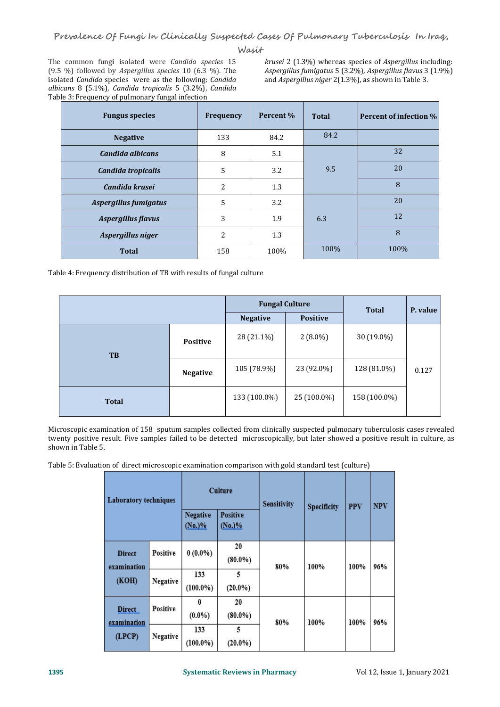**Wasit**

The common fungi isolated were *Candida species* 15 (9.5 %) followed by *Aspergillus species* 10 (6.3 %). The isolated *Candida* species were as the following: *Candida albicans* 8 (5.1%), *Candida tropicalis* 5 (3.2%), *Candida* Table 3: Frequency of pulmonary fungal infection

Asperaillus fumigatus 5 (3.2%), Asperaillus flavus 3 (1.9%)

| <b>Fungus species</b>     | Frequency      | Percent % | <b>Total</b> | <b>Percent of infection %</b> |
|---------------------------|----------------|-----------|--------------|-------------------------------|
| <b>Negative</b>           | 133            | 84.2      | 84.2         |                               |
| Candida albicans          | 8              | 5.1       |              | 32                            |
| Candida tropicalis        | 5              | 3.2       | 9.5          | 20                            |
| Candida krusei            | $\overline{c}$ | 1.3       |              | 8                             |
| Aspergillus fumigatus     | 5              | 3.2       |              | 20                            |
| <b>Aspergillus flavus</b> | 3              | 1.9       | 6.3          | 12                            |
| Aspergillus niger         | 2              | 1.3       |              | 8                             |
| <b>Total</b>              | 158            | 100%      | 100%         | 100%                          |

Table 4: Frequency distribution of TB with results of fungal culture

|              |                 | <b>Fungal Culture</b> |                 | <b>Total</b> | P. value |
|--------------|-----------------|-----------------------|-----------------|--------------|----------|
|              |                 | <b>Negative</b>       | <b>Positive</b> |              |          |
| TB           | Positive        | 28 (21.1%)            | $2(8.0\%)$      | 30 (19.0%)   |          |
|              | <b>Negative</b> | 105 (78.9%)           | 23 (92.0%)      | 128 (81.0%)  | 0.127    |
| <b>Total</b> |                 | 133 (100.0%)          | 25 (100.0%)     | 158 (100.0%) |          |

Microscopic examination of 158 sputum samples collected from clinically suspected pulmonary tuberculosis cases revealed twenty positive result. Five samples failed to be detected microscopically, but later showed a positive result in culture, as shown in Table 5.

Table 5: Evaluation of direct microscopic examination comparison with gold standard test (culture)

|  |                                                                       | <b>Laboratory techniques</b> |                    | <b>Culture</b><br><b>Positive</b><br>(No.)% | <b>Sensitivity</b> | Specificity | <b>PPV</b> | <b>NPV</b> |
|--|-----------------------------------------------------------------------|------------------------------|--------------------|---------------------------------------------|--------------------|-------------|------------|------------|
|  | <b>Direct</b><br>examination<br>(KOH)                                 | Positive                     | $0(0.0\%)$         | 20<br>$(80.0\%)$                            | 80%                | 100%        | 100%       | 96%        |
|  |                                                                       | Negative                     | 133<br>$(100.0\%)$ | 5<br>$(20.0\%)$                             |                    |             |            |            |
|  | <b>Positive</b><br><b>Direct</b><br>examination<br>(LPCP)<br>Negative | $\bf{0}$<br>$(0.0\%)$        | 20<br>$(80.0\%)$   | 80%                                         | 100%               | 100%        | 96%        |            |
|  |                                                                       |                              | 133<br>$(100.0\%)$ | 5<br>$(20.0\%)$                             |                    |             |            |            |